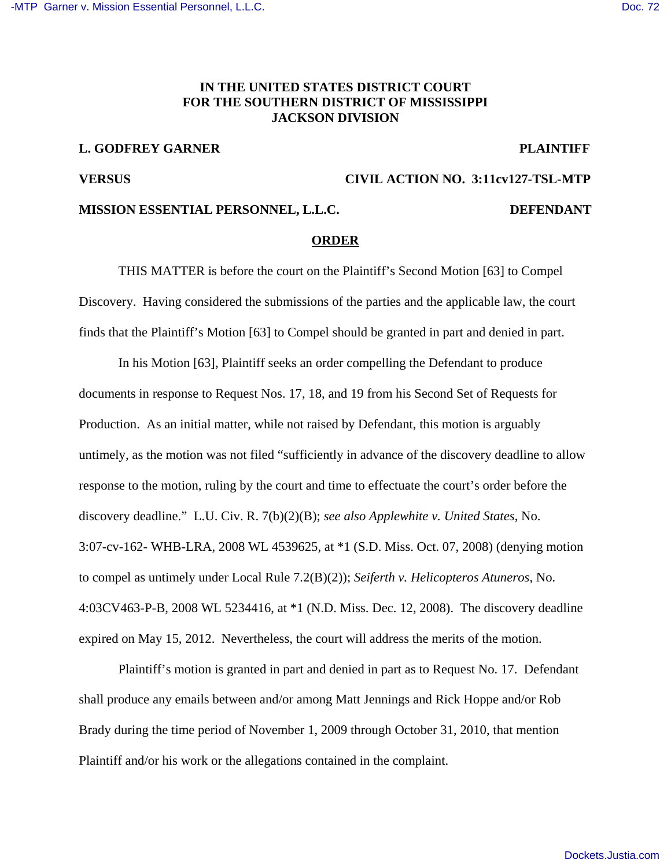# **IN THE UNITED STATES DISTRICT COURT FOR THE SOUTHERN DISTRICT OF MISSISSIPPI JACKSON DIVISION**

# **L. GODFREY GARNER PLAINTIFF**

### **VERSUS CIVIL ACTION NO. 3:11cv127-TSL-MTP**

## **MISSION ESSENTIAL PERSONNEL, L.L.C. DEFENDANT**

## **ORDER**

THIS MATTER is before the court on the Plaintiff's Second Motion [63] to Compel Discovery. Having considered the submissions of the parties and the applicable law, the court finds that the Plaintiff's Motion [63] to Compel should be granted in part and denied in part.

In his Motion [63], Plaintiff seeks an order compelling the Defendant to produce documents in response to Request Nos. 17, 18, and 19 from his Second Set of Requests for Production. As an initial matter, while not raised by Defendant, this motion is arguably untimely, as the motion was not filed "sufficiently in advance of the discovery deadline to allow response to the motion, ruling by the court and time to effectuate the court's order before the discovery deadline." L.U. Civ. R. 7(b)(2)(B); *see also Applewhite v. United States*, No. 3:07-cv-162- WHB-LRA, 2008 WL 4539625, at \*1 (S.D. Miss. Oct. 07, 2008) (denying motion to compel as untimely under Local Rule 7.2(B)(2)); *Seiferth v. Helicopteros Atuneros*, No. 4:03CV463-P-B, 2008 WL 5234416, at \*1 (N.D. Miss. Dec. 12, 2008). The discovery deadline expired on May 15, 2012. Nevertheless, the court will address the merits of the motion.

Plaintiff's motion is granted in part and denied in part as to Request No. 17. Defendant shall produce any emails between and/or among Matt Jennings and Rick Hoppe and/or Rob Brady during the time period of November 1, 2009 through October 31, 2010, that mention Plaintiff and/or his work or the allegations contained in the complaint.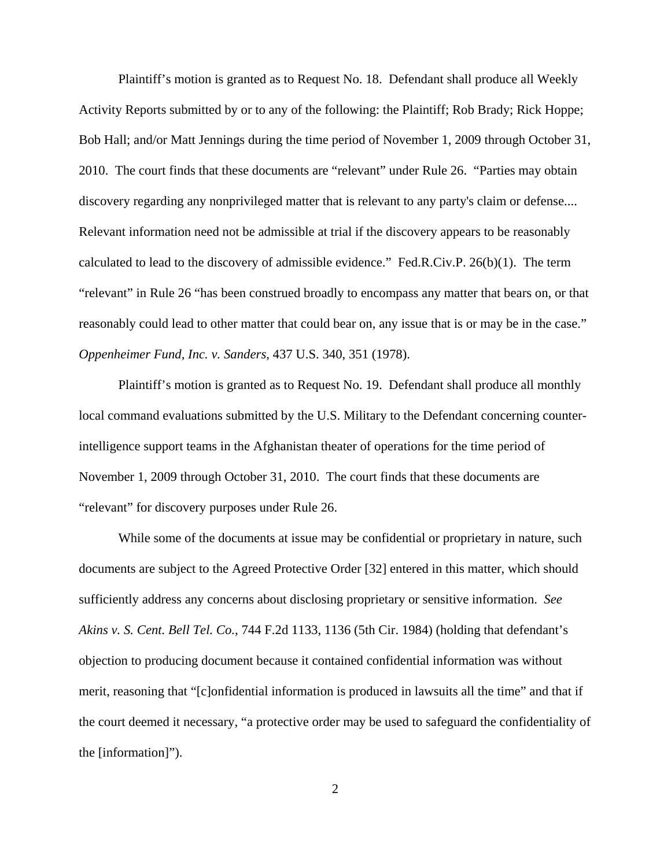Plaintiff's motion is granted as to Request No. 18. Defendant shall produce all Weekly Activity Reports submitted by or to any of the following: the Plaintiff; Rob Brady; Rick Hoppe; Bob Hall; and/or Matt Jennings during the time period of November 1, 2009 through October 31, 2010. The court finds that these documents are "relevant" under Rule 26. "Parties may obtain discovery regarding any nonprivileged matter that is relevant to any party's claim or defense.... Relevant information need not be admissible at trial if the discovery appears to be reasonably calculated to lead to the discovery of admissible evidence." Fed.R.Civ.P. 26(b)(1). The term "relevant" in Rule 26 "has been construed broadly to encompass any matter that bears on, or that reasonably could lead to other matter that could bear on, any issue that is or may be in the case." *Oppenheimer Fund, Inc. v. Sanders*, 437 U.S. 340, 351 (1978).

Plaintiff's motion is granted as to Request No. 19. Defendant shall produce all monthly local command evaluations submitted by the U.S. Military to the Defendant concerning counterintelligence support teams in the Afghanistan theater of operations for the time period of November 1, 2009 through October 31, 2010. The court finds that these documents are "relevant" for discovery purposes under Rule 26.

While some of the documents at issue may be confidential or proprietary in nature, such documents are subject to the Agreed Protective Order [32] entered in this matter, which should sufficiently address any concerns about disclosing proprietary or sensitive information. *See Akins v. S. Cent. Bell Tel. Co.*, 744 F.2d 1133, 1136 (5th Cir. 1984) (holding that defendant's objection to producing document because it contained confidential information was without merit, reasoning that "[c]onfidential information is produced in lawsuits all the time" and that if the court deemed it necessary, "a protective order may be used to safeguard the confidentiality of the [information]").